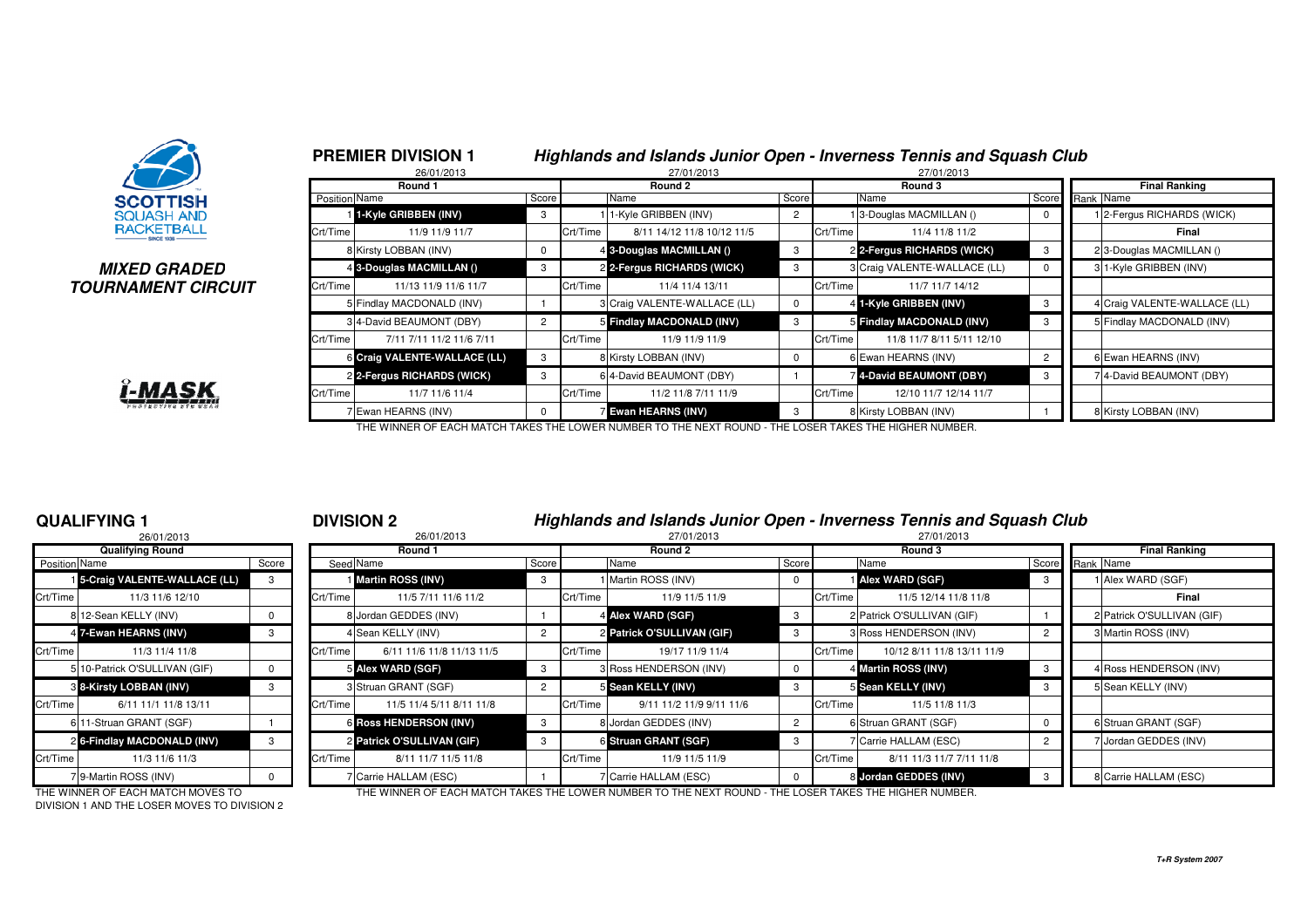

### **MIXED GRADEDTOURNAMENT CIRCUIT**



|               | Round 1                      |                |          | Round 2                      |                |          | Round 3                      |                | <b>Final Ranking</b>         |  |  |  |
|---------------|------------------------------|----------------|----------|------------------------------|----------------|----------|------------------------------|----------------|------------------------------|--|--|--|
| Position Name |                              | Score          |          | Name<br>Score                |                |          | Name                         | Score          | Rank Name                    |  |  |  |
|               | 1-Kyle GRIBBEN (INV)         | 3              |          | 1-Kyle GRIBBEN (INV)         | $\overline{2}$ |          | 3-Douglas MACMILLAN ()       |                | 12-Fergus RICHARDS (WICK)    |  |  |  |
| Crt/Time      | 11/9 11/9 11/7               |                | Crt/Time | 8/11 14/12 11/8 10/12 11/5   |                | Crt/Time | 11/4 11/8 11/2               |                | Final                        |  |  |  |
|               | 8 Kirsty LOBBAN (INV)        | 0              |          | 4 3-Douglas MACMILLAN ()     | 3              |          | 2 2-Fergus RICHARDS (WICK)   | 3              | 23-Douglas MACMILLAN ()      |  |  |  |
|               | 4 3-Douglas MACMILLAN ()     | 3              |          | 2 2-Fergus RICHARDS (WICK)   | 3              |          | 3 Craig VALENTE-WALLACE (LL) |                | 3 1-Kyle GRIBBEN (INV)       |  |  |  |
| Crt/Time      | 11/13 11/9 11/6 11/7         |                | Crt/Time | 11/4 11/4 13/11              |                | Crt/Time | 11/7 11/7 14/12              |                |                              |  |  |  |
|               | 5 Findlay MACDONALD (INV)    |                |          | 3 Craig VALENTE-WALLACE (LL) | 0              |          | 4 1-Kyle GRIBBEN (INV)       | 3              | 4 Craig VALENTE-WALLACE (LL) |  |  |  |
|               | 3 4-David BEAUMONT (DBY)     | $\overline{2}$ |          | 5 Findlay MACDONALD (INV)    | 3              |          | 5 Findlay MACDONALD (INV)    | 3              | 5 Findlay MACDONALD (INV)    |  |  |  |
| Crt/Time      | 7/11 7/11 11/2 11/6 7/11     |                | Crt/Time | 11/9 11/9 11/9               |                | Crt/Time | 11/8 11/7 8/11 5/11 12/10    |                |                              |  |  |  |
|               | 6 Craig VALENTE-WALLACE (LL) | 3              |          | 8 Kirsty LOBBAN (INV)        | $\mathbf 0$    |          | 6 Ewan HEARNS (INV)          | $\overline{2}$ | 6 Ewan HEARNS (INV)          |  |  |  |
|               | 2 2-Fergus RICHARDS (WICK)   | 3              |          | 6 4-David BEAUMONT (DBY)     |                |          | 4-David BEAUMONT (DBY)       | 3              | 74-David BEAUMONT (DBY)      |  |  |  |
| Crt/Time      | 11/7 11/6 11/4               |                | Crt/Time | 11/2 11/8 7/11 11/9          |                | Crt/Time | 12/10 11/7 12/14 11/7        |                |                              |  |  |  |
|               | 7 Ewan HEARNS (INV)          | $\Omega$       |          | <b>Z Ewan HEARNS (INV)</b>   | 3              |          | 8 Kirsty LOBBAN (INV)        |                | 8 Kirsty LOBBAN (INV)        |  |  |  |

THE WINNER OF EACH MATCH TAKES THE LOWER NUMBER TO THE NEXT ROUND - THE LOSER TAKES THE HIGHER NUMBER.

# **QUALIFYING 1**

|                      | 26/01/2013                    |       |          |
|----------------------|-------------------------------|-------|----------|
|                      | <b>Qualifying Round</b>       |       |          |
| <b>Position Name</b> |                               | Score | Seed     |
|                      | 5-Craig VALENTE-WALLACE (LL)  | 3     |          |
| Crt/Time             | 11/3 11/6 12/10               |       | Crt/Time |
|                      | 812-Sean KELLY (INV)          | 0     | 8        |
|                      | 4 7-Ewan HEARNS (INV)         | 3     | 4        |
| Crt/Time             | 11/3 11/4 11/8                |       | Crt/Time |
|                      | 5 10-Patrick O'SULLIVAN (GIF) | O     | 5        |
|                      | 8 8-Kirsty LOBBAN (INV)       | 3     | 3        |
| Crt/Time             | 6/11 11/1 11/8 13/11          |       | Crt/Time |
|                      | 6 11-Struan GRANT (SGF)       |       | 6        |
|                      | 26-Findlay MACDONALD (INV)    | 3     | 2        |
| Crt/Time             | 11/3 11/6 11/3                |       | Crt/Time |
|                      | 7 9-Martin ROSS (INV)         | U     | 7        |

# <sup>1</sup> **DIVISION 2 Highlands and Islands Junior Open - Inverness Tennis and Squash Club**

|               | 26/01/2013                            |       |          | 27/01/2013<br>26/01/2013      |       |               |                            |      | 27/01/2013 |                            |                |                      |                            |  |
|---------------|---------------------------------------|-------|----------|-------------------------------|-------|---------------|----------------------------|------|------------|----------------------------|----------------|----------------------|----------------------------|--|
|               | <b>Qualifying Round</b>               |       |          | Round 1                       |       |               | Round 2                    |      |            | Round 3                    |                | <b>Final Ranking</b> |                            |  |
| Position Name |                                       | Score |          | Seed Name                     | Score | Score<br>Name |                            | Name |            | Score                      | Rank Name      |                      |                            |  |
|               | <b>1 5-Craig VALENTE-WALLACE (LL)</b> |       |          | Martin ROSS (INV)             | -3    |               | 1 Martin ROSS (INV)        |      |            | <b>Alex WARD (SGF)</b>     |                |                      | Alex WARD (SGF)            |  |
| Crt/Time      | 11/3 11/6 12/10                       |       | Crt/Time | 11/5 7/11 11/6 11/2           |       | Crt/Time      | 11/9 11/5 11/9             |      | Crt/Time   | 11/5 12/14 11/8 11/8       |                |                      | Final                      |  |
|               | 8 12-Sean KELLY (INV)                 |       |          | 8 Jordan GEDDES (INV)         |       |               | 4 Alex WARD (SGF)          | -3   |            | 2 Patrick O'SULLIVAN (GIF) |                |                      | 2 Patrick O'SULLIVAN (GIF) |  |
|               | 4 7-Ewan HEARNS (INV)                 | 3     |          | 4 Sean KELLY (INV)            |       |               | 2 Patrick O'SULLIVAN (GIF) | 3    |            | 3 Ross HENDERSON (INV)     | $\overline{2}$ |                      | 3 Martin ROSS (INV)        |  |
| Crt/Time      | 11/3 11/4 11/8                        |       | Crt/Time | 6/11 11/6 11/8 11/13 11/5     |       | Crt/Time      | 19/17 11/9 11/4            |      | Crt/Time   | 10/12 8/11 11/8 13/11 11/9 |                |                      |                            |  |
|               | 5 10-Patrick O'SULLIVAN (GIF)         |       |          | 5 Alex WARD (SGF)             | - 3   |               | 3 Ross HENDERSON (INV)     |      |            | 4 Martin ROSS (INV)        |                |                      | 4 Ross HENDERSON (INV)     |  |
|               | 8 8-Kirsty LOBBAN (INV)               |       |          | 3 Struan GRANT (SGF)          |       |               | 5 Sean KELLY (INV)         | 3    |            | 5 Sean KELLY (INV)         |                |                      | 5 Sean KELLY (INV)         |  |
| Crt/Time      | 6/11 11/1 11/8 13/11                  |       | Crt/Time | 11/5 11/4 5/11 8/11 11/8      |       | Crt/Time      | 9/11 11/2 11/9 9/11 11/6   |      | Crt/Time   | 11/5 11/8 11/3             |                |                      |                            |  |
|               | 6 11-Struan GRANT (SGF)               |       |          | <b>6 Ross HENDERSON (INV)</b> | -3    |               | 8 Jordan GEDDES (INV)      |      |            | 6 Struan GRANT (SGF)       | - 0            |                      | 6 Struan GRANT (SGF)       |  |
|               | 2 6-Findlay MACDONALD (INV)           | 3     |          | 2 Patrick O'SULLIVAN (GIF)    | -3    |               | 6 Struan GRANT (SGF)       | 3    |            | 7 Carrie HALLAM (ESC)      |                |                      | 7 Jordan GEDDES (INV)      |  |
| Crt/Time      | 11/3 11/6 11/3                        |       | Crt/Time | 8/11 11/7 11/5 11/8           |       | Crt/Time      | 11/9 11/5 11/9             |      | Crt/Time   | 8/11 11/3 11/7 7/11 11/8   |                |                      |                            |  |
|               | 79-Martin ROSS (INV)                  |       |          | <b>Carrie HALLAM (ESC)</b>    |       |               | 7 Carrie HALLAM (ESC)      |      |            | 8 Jordan GEDDES (INV)      |                |                      | 8 Carrie HALLAM (ESC)      |  |

DIVISION 1 AND THE LOSER MOVES TO DIVISION 2

THE WINNER OF EACH MATCH MOVES TO THE WINNER OF EACH MATCH TAKES THE LOWER NUMBER TO THE NEXT ROUND - THE LOSER TAKES THE HIGHER NUMBER.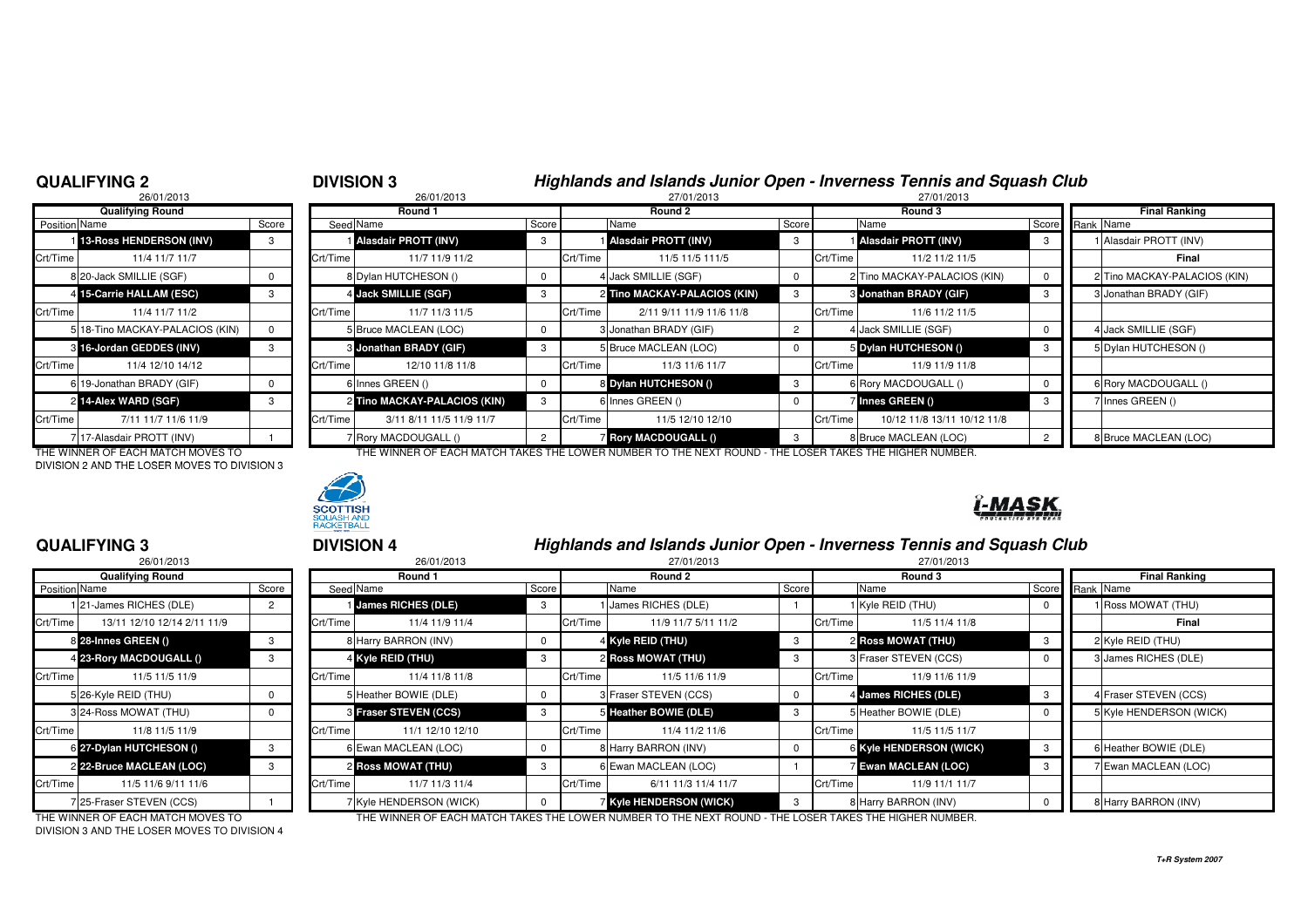# **QUALIFYING 2**

# 26/01/2013**Qualifying RoundPosition** Name 4 15-Carrie HALLAM (ESC) 5 18-Tino MACKAY-PALACIOS (KIN) 0 3 16-Jordan GEDDES (INV)  $6|19$ -Jonathan BRADY (GIF)  $| 0$ 2 14-Alex WARD (SGF) 7 17-Alasdair PROTT (INV) 1

DIVISION 2 AND THE LOSER MOVES TO DIVISION 3

# **SCOTTISH BACKETBALL**

# <sup>2</sup> **DIVISION 3 Highlands and Islands Junior Open - Inverness Tennis and Squash Club**

| 26/01/2013                      |       | 26/01/2013 |                          |                                                                                                                                                                                                                                                                           |  | 27/01/2013                                   |                                                                                                                                                                                                                 |  | 27/01/2013                                            |                                                                                                                                                                                                                    |                              |
|---------------------------------|-------|------------|--------------------------|---------------------------------------------------------------------------------------------------------------------------------------------------------------------------------------------------------------------------------------------------------------------------|--|----------------------------------------------|-----------------------------------------------------------------------------------------------------------------------------------------------------------------------------------------------------------------|--|-------------------------------------------------------|--------------------------------------------------------------------------------------------------------------------------------------------------------------------------------------------------------------------|------------------------------|
| <b>Qualifying Round</b>         |       |            | Round 1                  |                                                                                                                                                                                                                                                                           |  | Round 2                                      |                                                                                                                                                                                                                 |  | Round 3                                               |                                                                                                                                                                                                                    | <b>Final Ranking</b>         |
| Position Name                   | Score |            |                          | Score                                                                                                                                                                                                                                                                     |  | Name                                         |                                                                                                                                                                                                                 |  |                                                       |                                                                                                                                                                                                                    | Score Rank Name              |
| 1 13-Ross HENDERSON (INV)       |       |            |                          | 3                                                                                                                                                                                                                                                                         |  |                                              |                                                                                                                                                                                                                 |  |                                                       |                                                                                                                                                                                                                    | 1 Alasdair PROTT (INV)       |
| Crt/Time<br>11/4 11/7 11/7      |       |            | 11/7 11/9 11/2           |                                                                                                                                                                                                                                                                           |  | 11/5 11/5 111/5                              |                                                                                                                                                                                                                 |  | 11/2 11/2 11/5                                        |                                                                                                                                                                                                                    | Final                        |
| 8 20-Jack SMILLIE (SGF)         |       |            |                          | 0                                                                                                                                                                                                                                                                         |  |                                              |                                                                                                                                                                                                                 |  |                                                       |                                                                                                                                                                                                                    | 2 Tino MACKAY-PALACIOS (KIN) |
| 4 15-Carrie HALLAM (ESC)        |       |            |                          | 3                                                                                                                                                                                                                                                                         |  |                                              |                                                                                                                                                                                                                 |  |                                                       |                                                                                                                                                                                                                    | 3 Jonathan BRADY (GIF)       |
| Crt/Time<br>11/4 11/7 11/2      |       |            | 11/7 11/3 11/5           |                                                                                                                                                                                                                                                                           |  | 2/11 9/11 11/9 11/6 11/8                     |                                                                                                                                                                                                                 |  | 11/6 11/2 11/5                                        |                                                                                                                                                                                                                    |                              |
| 5 18-Tino MACKAY-PALACIOS (KIN) |       |            |                          | $^{\circ}$                                                                                                                                                                                                                                                                |  |                                              |                                                                                                                                                                                                                 |  |                                                       |                                                                                                                                                                                                                    | 4 Jack SMILLIE (SGF)         |
| 3 16-Jordan GEDDES (INV)        |       |            |                          | 3                                                                                                                                                                                                                                                                         |  |                                              |                                                                                                                                                                                                                 |  |                                                       |                                                                                                                                                                                                                    | 5 Dylan HUTCHESON ()         |
| Crt/Time<br>11/4 12/10 14/12    |       |            | 12/10 11/8 11/8          |                                                                                                                                                                                                                                                                           |  | 11/3 11/6 11/7                               |                                                                                                                                                                                                                 |  | 11/9 11/9 11/8                                        |                                                                                                                                                                                                                    |                              |
| 6 19-Jonathan BRADY (GIF)       |       |            |                          | $^{\circ}$                                                                                                                                                                                                                                                                |  |                                              |                                                                                                                                                                                                                 |  |                                                       |                                                                                                                                                                                                                    | 6 Rory MACDOUGALL ()         |
| 2 14-Alex WARD (SGF)            |       |            |                          | 3                                                                                                                                                                                                                                                                         |  |                                              |                                                                                                                                                                                                                 |  |                                                       |                                                                                                                                                                                                                    | 7 Innes GREEN ()             |
| Crt/Time<br>7/11 11/7 11/6 11/9 |       |            | 3/11 8/11 11/5 11/9 11/7 |                                                                                                                                                                                                                                                                           |  | 11/5 12/10 12/10                             |                                                                                                                                                                                                                 |  | 10/12 11/8 13/11 10/12 11/8                           |                                                                                                                                                                                                                    |                              |
| 717-Alasdair PROTT (INV)        |       |            |                          | 2                                                                                                                                                                                                                                                                         |  |                                              |                                                                                                                                                                                                                 |  |                                                       |                                                                                                                                                                                                                    | 8 Bruce MACLEAN (LOC)        |
|                                 |       |            |                          | Seed Name<br><b>I Alasdair PROTT (INV)</b><br>Crt/Time<br>8 Dylan HUTCHESON ()<br>4 Jack SMILLIE (SGF)<br>Crt/Time<br>5 Bruce MACLEAN (LOC)<br>3 Jonathan BRADY (GIF)<br>Crt/Time<br>6 Innes GREEN ()<br>2 Tino MACKAY-PALACIOS (KIN)<br>Crt/Time<br>7 Rory MACDOUGALL () |  | Crt/Time<br>Crt/Time<br>Crt/Time<br>Crt/Time | <b>Alasdair PROTT (INV)</b><br>4 Jack SMILLIE (SGF)<br>2 Tino MACKAY-PALACIOS (KIN)<br>3 Jonathan BRADY (GIF)<br>5 Bruce MACLEAN (LOC)<br>8 Dylan HUTCHESON ()<br>6 Innes GREEN ()<br><b>Rory MACDOUGALL ()</b> |  | Score<br>Crt/Time<br>Crt/Time<br>Crt/Time<br>Crt/Time | Name<br>Alasdair PROTT (INV)<br>2 Tino MACKAY-PALACIOS (KIN)<br><b>3 Jonathan BRADY (GIF)</b><br>4 Jack SMILLIE (SGF)<br>5 Dylan HUTCHESON ()<br>6 Rory MACDOUGALL ()<br>7 Innes GREEN ()<br>8 Bruce MACLEAN (LOC) |                              |

THE WINNER OF EACH MATCH MOVES TO THE WINNER OF EACH MATCH TAKES THE LOWER NUMBER TO THE NEXT ROUND - THE LOSER TAKES THE HIGHER NUMBER.



<u>ľ-MASK</u>

# **QUALIFYING 3**

|               | 26/01/2013                  |       |          |
|---------------|-----------------------------|-------|----------|
|               | <b>Qualifying Round</b>     |       |          |
| Position Name |                             | Score | Seed     |
|               | 121-James RICHES (DLE)      | 2     |          |
| Crt/Time      | 13/11 12/10 12/14 2/11 11/9 |       | Crt/Time |
|               | 8 28-Innes GREEN ()         | 3     | 8        |
|               | 4 23-Rory MACDOUGALL ()     | 3     | 4        |
| Crt/Time      | 11/5 11/5 11/9              |       | Crt/Time |
|               | 5 26-Kyle REID (THU)        | 0     | 5        |
|               | 3 24-Ross MOWAT (THU)       | 0     | 3        |
| Crt/Time      | 11/8 11/5 11/9              |       | Crt/Time |
|               | 6 27-Dylan HUTCHESON ()     | 3     | 6        |
|               | 2 22-Bruce MACLEAN (LOC)    | 3     | 2        |
| Crt/Time      | 11/5 11/6 9/11 11/6         |       | Crt/Time |
|               | 7 25-Fraser STEVEN (CCS)    |       | 7        |

<sup>3</sup> **DIVISION 4 Highlands and Islands Junior Open - Inverness Tennis and Squash Club**

|               | 26/01/2013                  |       | 26/01/2013 |                           |       |          | 27/01/2013                   |       |          | 27/01/2013                  |                 |                      |                         |  |
|---------------|-----------------------------|-------|------------|---------------------------|-------|----------|------------------------------|-------|----------|-----------------------------|-----------------|----------------------|-------------------------|--|
|               | <b>Qualifying Round</b>     |       |            | Round 1                   |       |          | Round 2                      |       | Round 3  |                             |                 | <b>Final Ranking</b> |                         |  |
| Position Name |                             | Score |            | Seed Name                 | Score |          | Name                         | Score |          | Name                        | Score Rank Name |                      |                         |  |
|               | 121-James RICHES (DLE)      |       |            | <b>James RICHES (DLE)</b> | 3     |          | James RICHES (DLE)           |       |          | 1 Kyle REID (THU)           |                 |                      | I Ross MOWAT (THU)      |  |
| Crt/Time      | 13/11 12/10 12/14 2/11 11/9 |       | Crt/Time   | 11/4 11/9 11/4            |       | Crt/Time | 11/9 11/7 5/11 11/2          |       | Crt/Time | 11/5 11/4 11/8              |                 |                      | Final                   |  |
|               | 8 28-Innes GREEN ()         |       |            | 8 Harry BARRON (INV)      |       |          | 4 Kyle REID (THU)            | -3    |          | <b>2 Ross MOWAT (THU)</b>   |                 |                      | 2 Kyle REID (THU)       |  |
|               | 4 23-Rory MACDOUGALL ()     | 3     |            | 4 Kyle REID (THU)         | -3    |          | 2 Ross MOWAT (THU)           | 3     |          | 3 Fraser STEVEN (CCS)       |                 |                      | 3 James RICHES (DLE)    |  |
| Crt/Time      | 11/5 11/5 11/9              |       | Crt/Time   | 11/4 11/8 11/8            |       | Crt/Time | 11/5 11/6 11/9               |       | Crt/Time | 11/9 11/6 11/9              |                 |                      |                         |  |
|               | 5 26-Kyle REID (THU)        |       |            | 5 Heather BOWIE (DLE)     |       |          | 3 Fraser STEVEN (CCS)        |       |          | 4 James RICHES (DLE)        |                 |                      | 4 Fraser STEVEN (CCS)   |  |
|               | 3 24-Ross MOWAT (THU)       |       |            | 3 Fraser STEVEN (CCS)     | -3    |          | 5 Heather BOWIE (DLE)        |       |          | 5 Heather BOWIE (DLE)       |                 |                      | 5 Kyle HENDERSON (WICK) |  |
| Crt/Time I    | 11/8 11/5 11/9              |       | Crt/Time   | 11/1 12/10 12/10          |       | Crt/Time | 11/4 11/2 11/6               |       | Crt/Time | 11/5 11/5 11/7              |                 |                      |                         |  |
|               | 6 27-Dylan HUTCHESON ()     |       |            | 6 Ewan MACLEAN (LOC)      |       |          | 8 Harry BARRON (INV)         |       |          | 6 Kyle HENDERSON (WICK)     |                 |                      | 6 Heather BOWIE (DLE)   |  |
|               | 2 22-Bruce MACLEAN (LOC)    |       |            | <b>2 Ross MOWAT (THU)</b> | 3     |          | 6 Ewan MACLEAN (LOC)         |       |          | <b>Z Ewan MACLEAN (LOC)</b> | -3              |                      | 7 Ewan MACLEAN (LOC)    |  |
| Crt/Time      | 11/5 11/6 9/11 11/6         |       | Crt/Time   | 11/7 11/3 11/4            |       | Crt/Time | 6/11 11/3 11/4 11/7          |       | Crt/Time | 11/9 11/1 11/7              |                 |                      |                         |  |
|               | 725-Fraser STEVEN (CCS)     |       |            | 7 Kyle HENDERSON (WICK)   |       |          | <b>Kyle HENDERSON (WICK)</b> |       |          | 8 Harry BARRON (INV)        |                 |                      | 8 Harry BARRON (INV)    |  |

DIVISION 3 AND THE LOSER MOVES TO DIVISION 4

THE WINNER OF EACH MATCH MOVES TO THE WINNER OF EACH MATCH TAKES THE LOWER NUMBER TO THE NEXT ROUND - THE LOSER TAKES THE HIGHER NUMBER.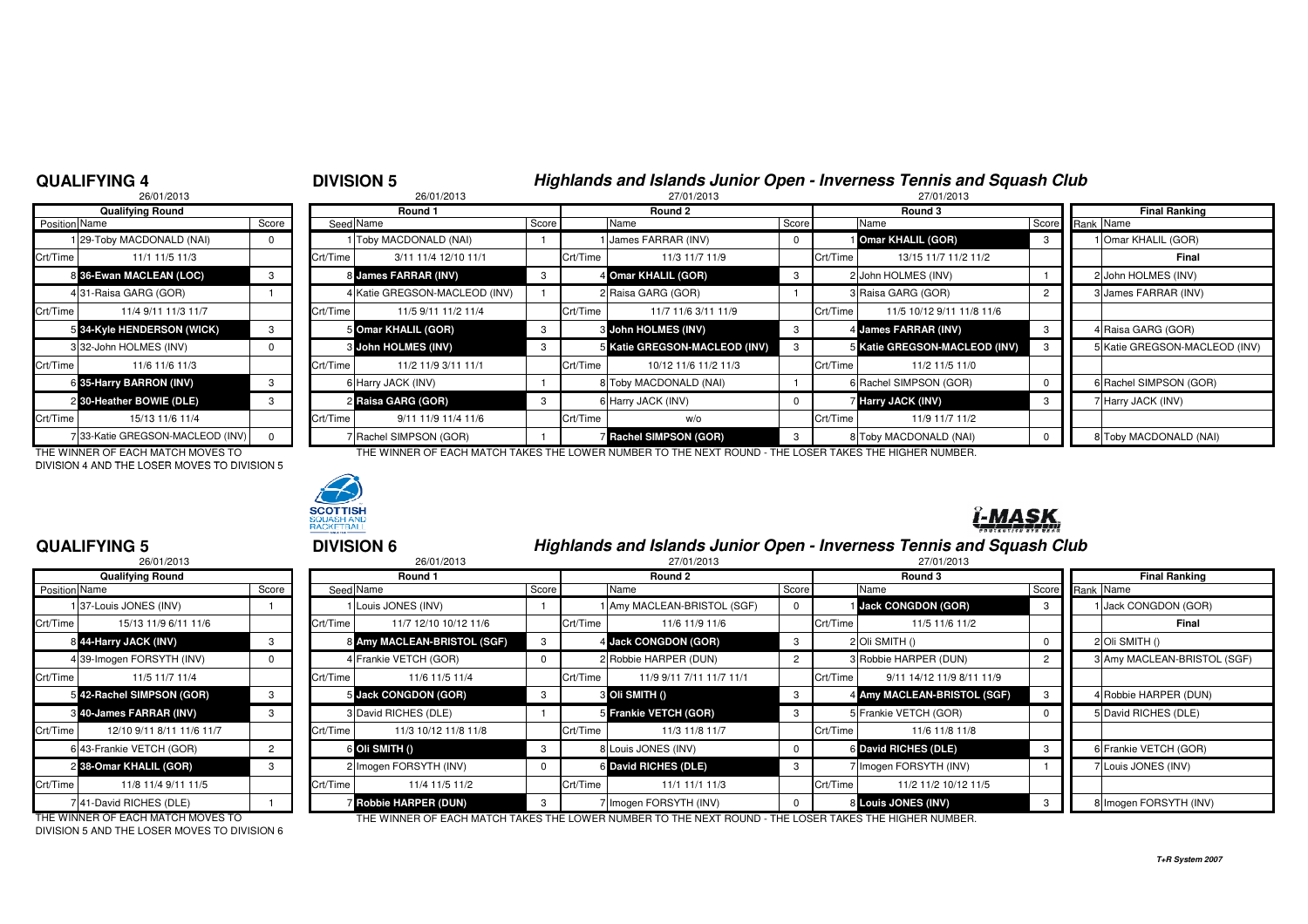### **QUALIFYING 4**

**QUALIFYING 5**

# **DIVISION 5**<br><sup>26/01/2013</sup><br>27/01/2013<br>27/01/2013

|               | 26/01/2013                      |       |          | 26/01/2013                     |       | 27/01/2013 |                               |       |          | 27/01/2013                    |       |  |                        |  |
|---------------|---------------------------------|-------|----------|--------------------------------|-------|------------|-------------------------------|-------|----------|-------------------------------|-------|--|------------------------|--|
|               | <b>Qualifying Round</b>         |       |          | Round 1                        |       |            | Round 2                       |       | Round 3  |                               |       |  | <b>Final Ranking</b>   |  |
| Position Name |                                 | Score |          | Seed Name                      | Score |            | Name                          | Score |          | Name                          | Score |  | Rank Name              |  |
|               | 129-Toby MACDONALD (NAI)        |       |          | 1 Toby MACDONALD (NAI)         |       |            | <b>James FARRAR (INV)</b>     |       |          | <b>Omar KHALIL (GOR)</b>      |       |  | 1 Omar KHALIL (GOR)    |  |
| Crt/Time      | 11/1 11/5 11/3                  |       | Crt/Time | 3/11 11/4 12/10 11/1           |       | Crt/Time   | 11/3 11/7 11/9                |       | Crt/Time | 13/15 11/7 11/2 11/2          |       |  | <b>Final</b>           |  |
|               | 8 36-Ewan MACLEAN (LOC)         |       |          | 8 James FARRAR (INV)           |       |            | 4 Omar KHALIL (GOR)           |       |          | 2 John HOLMES (INV)           |       |  | 2 John HOLMES (INV)    |  |
|               | 431-Raisa GARG (GOR)            |       |          | 4 Katie GREGSON-MACLEOD (INV)  |       |            | 2 Raisa GARG (GOR)            |       |          | 3 Raisa GARG (GOR)            |       |  | 3 James FARRAR (INV)   |  |
| Crt/Time      | 11/4 9/11 11/3 11/7             |       | Crt/Time | 11/5 9/11 11/2 11/4            |       | Crt/Time   | 11/7 11/6 3/11 11/9           |       | Crt/Time | 11/5 10/12 9/11 11/8 11/6     |       |  |                        |  |
|               | 5 34-Kyle HENDERSON (WICK)      | 3     |          | 5 Omar KHALIL (GOR)            | 3     |            | 3 John HOLMES (INV)           | 3     |          | 4 James FARRAR (INV)          |       |  | 4 Raisa GARG (GOR)     |  |
|               | 332-John HOLMES (INV)           |       |          | <b>&amp; John HOLMES (INV)</b> |       |            | 5 Katie GREGSON-MACLEOD (INV) |       |          | 5 Katie GREGSON-MACLEOD (INV) |       |  | 5 Katie GREGSON-MACLE  |  |
| Crt/Time      | 11/6 11/6 11/3                  |       | Crt/Time | 11/2 11/9 3/11 11/1            |       | Crt/Time   | 10/12 11/6 11/2 11/3          |       | Crt/Time | 11/2 11/5 11/0                |       |  |                        |  |
|               | 6 35-Harry BARRON (INV)         | 3     |          | 6 Harry JACK (INV)             |       |            | 8 Toby MACDONALD (NAI)        |       |          | 6 Rachel SIMPSON (GOR)        |       |  | 6 Rachel SIMPSON (GOR) |  |
|               | 2 30-Heather BOWIE (DLE)        | 3     |          | 2 Raisa GARG (GOR)             | 3     |            | 6 Harry JACK (INV)            |       |          | <b>7 Harry JACK (INV)</b>     |       |  | 7 Harry JACK (INV)     |  |
| Crt/Time      | 15/13 11/6 11/4                 |       | Crt/Time | 9/11 11/9 11/4 11/6            |       | Crt/Time   | w/o                           |       | Crt/Time | 11/9 11/7 11/2                |       |  |                        |  |
|               | 733-Katie GREGSON-MACLEOD (INV) |       |          | 7 Rachel SIMPSON (GOR)         |       |            | <b>7 Rachel SIMPSON (GOR)</b> | 3     |          | 8 Toby MACDONALD (NAI)        |       |  | 8 Toby MACDONALD (NAI) |  |

THE WINNER OF EACH MATCH MOVES TO THE WINNER OF EACH MATCH TAKES THE LOWER NUMBER TO THE NEXT ROUND - THE LOSER TAKES THE HIGHER NUMBER.DIVISION 4 AND THE LOSER MOVES TO DIVISION 5



|            | <b>DIVISION 6</b> | Highlands and Islands Junior Open - Inverness Tennis and Squash Club |            |
|------------|-------------------|----------------------------------------------------------------------|------------|
| 0.01010010 | 00/01/0010        | 07/01/0010                                                           | 07/01/0010 |

|                      | 26/01/2013                     |       | 26/01/2013 |                             |             |          | 27/01/2013                  |       |          | 27/01/2013                  |                |  |                             |  |  |
|----------------------|--------------------------------|-------|------------|-----------------------------|-------------|----------|-----------------------------|-------|----------|-----------------------------|----------------|--|-----------------------------|--|--|
|                      | <b>Qualifying Round</b>        |       |            | Round 1                     |             | Round 2  |                             |       | Round 3  |                             |                |  | <b>Final Ranking</b>        |  |  |
| <b>Position Name</b> |                                | Score |            | Seed Name                   | Score       |          | Name                        | Score |          | Name                        | Score          |  | Rank Name                   |  |  |
|                      | 137-Louis JONES (INV)          |       |            | Louis JONES (INV)           |             |          | 1 Amy MACLEAN-BRISTOL (SGF) |       |          | <b>Jack CONGDON (GOR)</b>   | - 3            |  | Jack CONGDON (GOR)          |  |  |
| Crt/Time I           | 15/13 11/9 6/11 11/6           |       | Crt/Time   | 11/7 12/10 10/12 11/6       |             | Crt/Time | 11/6 11/9 11/6              |       | Crt/Time | 11/5 11/6 11/2              |                |  | Final                       |  |  |
|                      | 8 44-Harry JACK (INV)          |       |            | 8 Amy MACLEAN-BRISTOL (SGF) | 3           |          | 4 Jack CONGDON (GOR)        |       |          | 2 Oli SMITH ()              |                |  | 2 Oli SMITH ()              |  |  |
|                      | 4 39-Imogen FORSYTH (INV)      |       |            | 4 Frankie VETCH (GOR)       |             |          | 2 Robbie HARPER (DUN)       |       |          | 3 Robbie HARPER (DUN)       | $\overline{2}$ |  | 3 Amy MACLEAN-BRISTOL (SGF) |  |  |
| Crt/Time             | 11/5 11/7 11/4                 |       | Crt/Time   | 11/6 11/5 11/4              |             | Crt/Time | 11/9 9/11 7/11 11/7 11/1    |       | Crt/Time | 9/11 14/12 11/9 8/11 11/9   |                |  |                             |  |  |
|                      | 5 42-Rachel SIMPSON (GOR)      |       |            | 5 Jack CONGDON (GOR)        | 3           |          | <b>8 Oli SMITH ()</b>       | -3    |          | 4 Amy MACLEAN-BRISTOL (SGF) | - 3            |  | 4 Robbie HARPER (DUN)       |  |  |
|                      | <b>8 40-James FARRAR (INV)</b> |       |            | 3 David RICHES (DLE)        |             |          | 5 Frankie VETCH (GOR)       | -3    |          | 5 Frankie VETCH (GOR)       | 0              |  | 5 David RICHES (DLE)        |  |  |
| Crt/Time             | 12/10 9/11 8/11 11/6 11/7      |       | Crt/Time   | 11/3 10/12 11/8 11/8        |             | Crt/Time | 11/3 11/8 11/7              |       | Crt/Time | 11/6 11/8 11/8              |                |  |                             |  |  |
|                      | 6 43-Frankie VETCH (GOR)       |       |            | 6 Oli SMITH ()              | 3           |          | Louis JONES (INV)           |       |          | 6 David RICHES (DLE)        | -3             |  | 6 Frankie VETCH (GOR)       |  |  |
|                      | 2 38-Omar KHALIL (GOR)         |       |            | 2 Imogen FORSYTH (INV)      | $\mathbf 0$ |          | 6 David RICHES (DLE)        |       |          | 7 Imogen FORSYTH (INV)      |                |  | 7 Louis JONES (INV)         |  |  |
| Crt/Time I           | 11/8 11/4 9/11 11/5            |       | Crt/Time   | 11/4 11/5 11/2              |             | Crt/Time | 11/1 11/1 11/3              |       | Crt/Time | 11/2 11/2 10/12 11/5        |                |  |                             |  |  |
|                      | 741-David RICHES (DLE)         |       |            | <b>Robbie HARPER (DUN)</b>  | 3           |          | Imogen FORSYTH (INV)        |       |          | 8 Louis JONES (INV)         |                |  | 8 Imogen FORSYTH (INV)      |  |  |

DIVISION 5 AND THE LOSER MOVES TO DIVISION 6

THE WINNER OF EACH MATCH MOVES TO THE WINNER OF EACH MATCH TAKES THE LOWER NUMBER TO THE NEXT ROUND - THE LOSER TAKES THE HIGHER NUMBER.